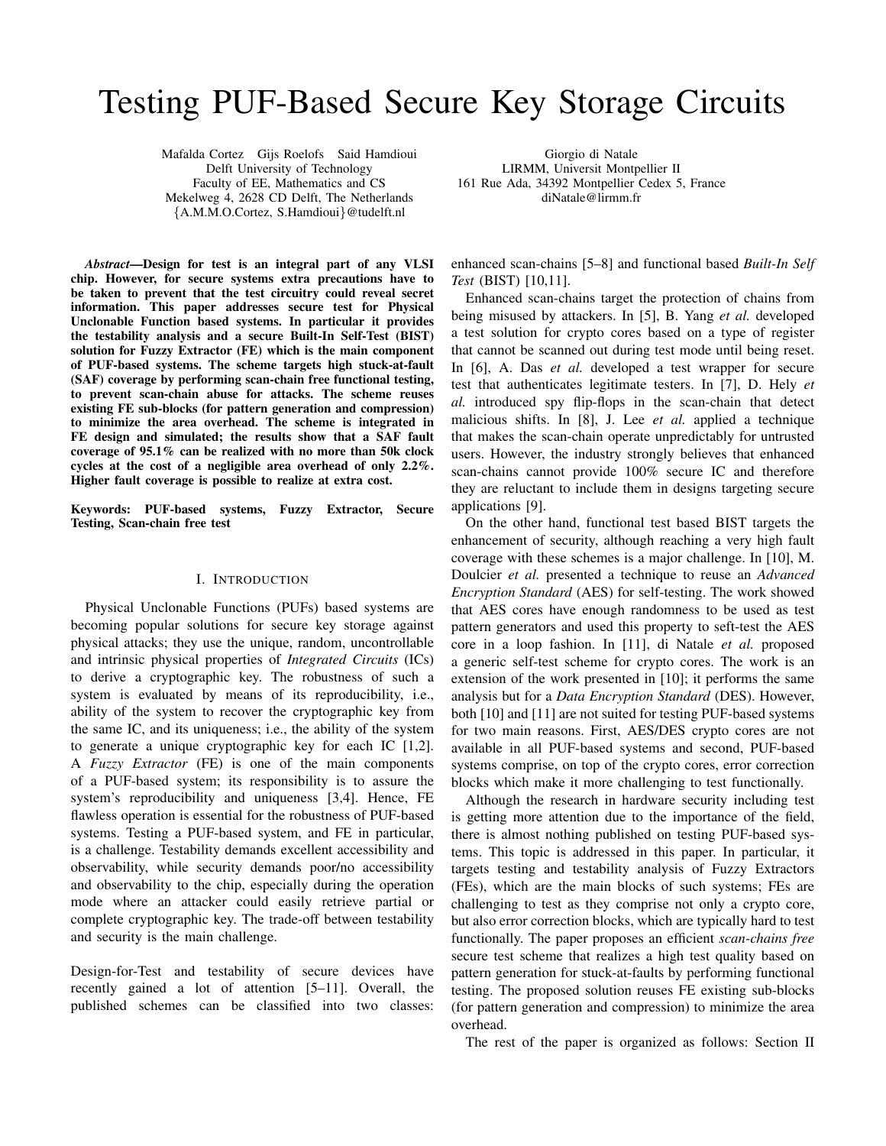# Testing PUF-Based Secure Key Storage Circuits

Mafalda Cortez Gijs Roelofs Said Hamdioui Delft University of Technology Faculty of EE, Mathematics and CS Mekelweg 4, 2628 CD Delft, The Netherlands {A.M.M.O.Cortez, S.Hamdioui}@tudelft.nl

*Abstract*—Design for test is an integral part of any VLSI chip. However, for secure systems extra precautions have to be taken to prevent that the test circuitry could reveal secret information. This paper addresses secure test for Physical Unclonable Function based systems. In particular it provides the testability analysis and a secure Built-In Self-Test (BIST) solution for Fuzzy Extractor (FE) which is the main component of PUF-based systems. The scheme targets high stuck-at-fault (SAF) coverage by performing scan-chain free functional testing, to prevent scan-chain abuse for attacks. The scheme reuses existing FE sub-blocks (for pattern generation and compression) to minimize the area overhead. The scheme is integrated in FE design and simulated; the results show that a SAF fault coverage of 95.1% can be realized with no more than 50k clock cycles at the cost of a negligible area overhead of only 2.2%. Higher fault coverage is possible to realize at extra cost.

Keywords: PUF-based systems, Fuzzy Extractor, Secure Testing, Scan-chain free test

## I. INTRODUCTION

Physical Unclonable Functions (PUFs) based systems are becoming popular solutions for secure key storage against physical attacks; they use the unique, random, uncontrollable and intrinsic physical properties of *Integrated Circuits* (ICs) to derive a cryptographic key. The robustness of such a system is evaluated by means of its reproducibility, i.e., ability of the system to recover the cryptographic key from the same IC, and its uniqueness; i.e., the ability of the system to generate a unique cryptographic key for each IC [1,2]. A *Fuzzy Extractor* (FE) is one of the main components of a PUF-based system; its responsibility is to assure the system's reproducibility and uniqueness [3,4]. Hence, FE flawless operation is essential for the robustness of PUF-based systems. Testing a PUF-based system, and FE in particular, is a challenge. Testability demands excellent accessibility and observability, while security demands poor/no accessibility and observability to the chip, especially during the operation mode where an attacker could easily retrieve partial or complete cryptographic key. The trade-off between testability and security is the main challenge.

Design-for-Test and testability of secure devices have recently gained a lot of attention [5–11]. Overall, the published schemes can be classified into two classes:

Giorgio di Natale LIRMM, Universit Montpellier II 161 Rue Ada, 34392 Montpellier Cedex 5, France diNatale@lirmm.fr

enhanced scan-chains [5–8] and functional based *Built-In Self Test* (BIST) [10,11].

Enhanced scan-chains target the protection of chains from being misused by attackers. In [5], B. Yang *et al.* developed a test solution for crypto cores based on a type of register that cannot be scanned out during test mode until being reset. In [6], A. Das *et al.* developed a test wrapper for secure test that authenticates legitimate testers. In [7], D. Hely *et al.* introduced spy flip-flops in the scan-chain that detect malicious shifts. In [8], J. Lee *et al.* applied a technique that makes the scan-chain operate unpredictably for untrusted users. However, the industry strongly believes that enhanced scan-chains cannot provide 100% secure IC and therefore they are reluctant to include them in designs targeting secure applications [9].

On the other hand, functional test based BIST targets the enhancement of security, although reaching a very high fault coverage with these schemes is a major challenge. In [10], M. Doulcier *et al.* presented a technique to reuse an *Advanced Encryption Standard* (AES) for self-testing. The work showed that AES cores have enough randomness to be used as test pattern generators and used this property to seft-test the AES core in a loop fashion. In [11], di Natale *et al.* proposed a generic self-test scheme for crypto cores. The work is an extension of the work presented in [10]; it performs the same analysis but for a *Data Encryption Standard* (DES). However, both [10] and [11] are not suited for testing PUF-based systems for two main reasons. First, AES/DES crypto cores are not available in all PUF-based systems and second, PUF-based systems comprise, on top of the crypto cores, error correction blocks which make it more challenging to test functionally.

Although the research in hardware security including test is getting more attention due to the importance of the field, there is almost nothing published on testing PUF-based systems. This topic is addressed in this paper. In particular, it targets testing and testability analysis of Fuzzy Extractors (FEs), which are the main blocks of such systems; FEs are challenging to test as they comprise not only a crypto core, but also error correction blocks, which are typically hard to test functionally. The paper proposes an efficient *scan-chains free* secure test scheme that realizes a high test quality based on pattern generation for stuck-at-faults by performing functional testing. The proposed solution reuses FE existing sub-blocks (for pattern generation and compression) to minimize the area overhead.

The rest of the paper is organized as follows: Section II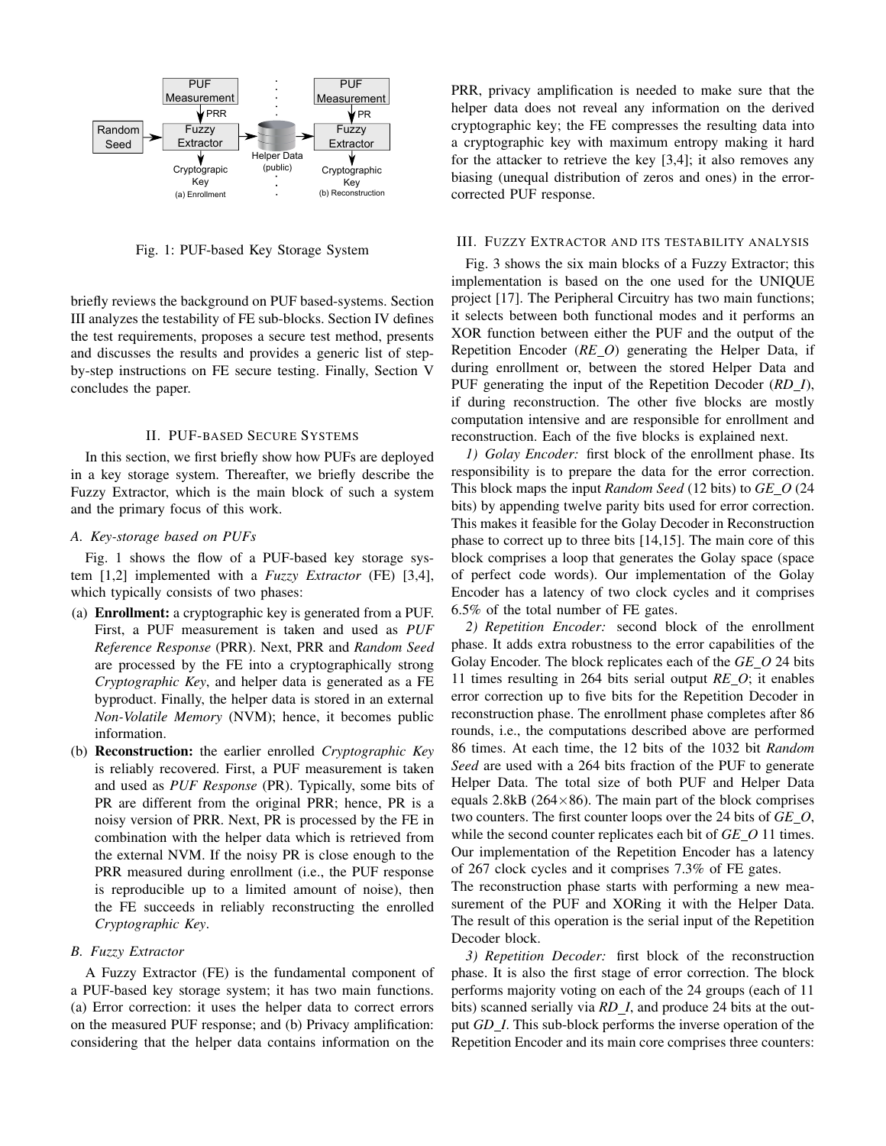

Fig. 1: PUF-based Key Storage System

briefly reviews the background on PUF based-systems. Section III analyzes the testability of FE sub-blocks. Section IV defines the test requirements, proposes a secure test method, presents and discusses the results and provides a generic list of stepby-step instructions on FE secure testing. Finally, Section V concludes the paper.

## II. PUF-BASED SECURE SYSTEMS

In this section, we first briefly show how PUFs are deployed in a key storage system. Thereafter, we briefly describe the Fuzzy Extractor, which is the main block of such a system and the primary focus of this work.

## *A. Key-storage based on PUFs*

Fig. 1 shows the flow of a PUF-based key storage system [1,2] implemented with a *Fuzzy Extractor* (FE) [3,4], which typically consists of two phases:

- (a) Enrollment: a cryptographic key is generated from a PUF. First, a PUF measurement is taken and used as *PUF Reference Response* (PRR). Next, PRR and *Random Seed* are processed by the FE into a cryptographically strong *Cryptographic Key*, and helper data is generated as a FE byproduct. Finally, the helper data is stored in an external *Non-Volatile Memory* (NVM); hence, it becomes public information.
- (b) Reconstruction: the earlier enrolled *Cryptographic Key* is reliably recovered. First, a PUF measurement is taken and used as *PUF Response* (PR). Typically, some bits of PR are different from the original PRR; hence, PR is a noisy version of PRR. Next, PR is processed by the FE in combination with the helper data which is retrieved from the external NVM. If the noisy PR is close enough to the PRR measured during enrollment (i.e., the PUF response is reproducible up to a limited amount of noise), then the FE succeeds in reliably reconstructing the enrolled *Cryptographic Key*.

## *B. Fuzzy Extractor*

A Fuzzy Extractor (FE) is the fundamental component of a PUF-based key storage system; it has two main functions. (a) Error correction: it uses the helper data to correct errors on the measured PUF response; and (b) Privacy amplification: considering that the helper data contains information on the

PRR, privacy amplification is needed to make sure that the helper data does not reveal any information on the derived cryptographic key; the FE compresses the resulting data into a cryptographic key with maximum entropy making it hard for the attacker to retrieve the key [3,4]; it also removes any biasing (unequal distribution of zeros and ones) in the errorcorrected PUF response.

## III. FUZZY EXTRACTOR AND ITS TESTABILITY ANALYSIS

Fig. 3 shows the six main blocks of a Fuzzy Extractor; this implementation is based on the one used for the UNIQUE project [17]. The Peripheral Circuitry has two main functions; it selects between both functional modes and it performs an XOR function between either the PUF and the output of the Repetition Encoder (*RE\_O*) generating the Helper Data, if during enrollment or, between the stored Helper Data and PUF generating the input of the Repetition Decoder (*RD I*), if during reconstruction. The other five blocks are mostly computation intensive and are responsible for enrollment and reconstruction. Each of the five blocks is explained next.

*1) Golay Encoder:* first block of the enrollment phase. Its responsibility is to prepare the data for the error correction. This block maps the input *Random Seed* (12 bits) to *GE O* (24 bits) by appending twelve parity bits used for error correction. This makes it feasible for the Golay Decoder in Reconstruction phase to correct up to three bits [14,15]. The main core of this block comprises a loop that generates the Golay space (space of perfect code words). Our implementation of the Golay Encoder has a latency of two clock cycles and it comprises 6.5% of the total number of FE gates.

*2) Repetition Encoder:* second block of the enrollment phase. It adds extra robustness to the error capabilities of the Golay Encoder. The block replicates each of the *GE O* 24 bits 11 times resulting in 264 bits serial output *RE O*; it enables error correction up to five bits for the Repetition Decoder in reconstruction phase. The enrollment phase completes after 86 rounds, i.e., the computations described above are performed 86 times. At each time, the 12 bits of the 1032 bit *Random Seed* are used with a 264 bits fraction of the PUF to generate Helper Data. The total size of both PUF and Helper Data equals 2.8kB ( $264\times86$ ). The main part of the block comprises two counters. The first counter loops over the 24 bits of *GE O*, while the second counter replicates each bit of *GE O* 11 times. Our implementation of the Repetition Encoder has a latency of 267 clock cycles and it comprises 7.3% of FE gates.

The reconstruction phase starts with performing a new measurement of the PUF and XORing it with the Helper Data. The result of this operation is the serial input of the Repetition Decoder block.

*3) Repetition Decoder:* first block of the reconstruction phase. It is also the first stage of error correction. The block performs majority voting on each of the 24 groups (each of 11 bits) scanned serially via *RD I*, and produce 24 bits at the output *GD\_I*. This sub-block performs the inverse operation of the Repetition Encoder and its main core comprises three counters: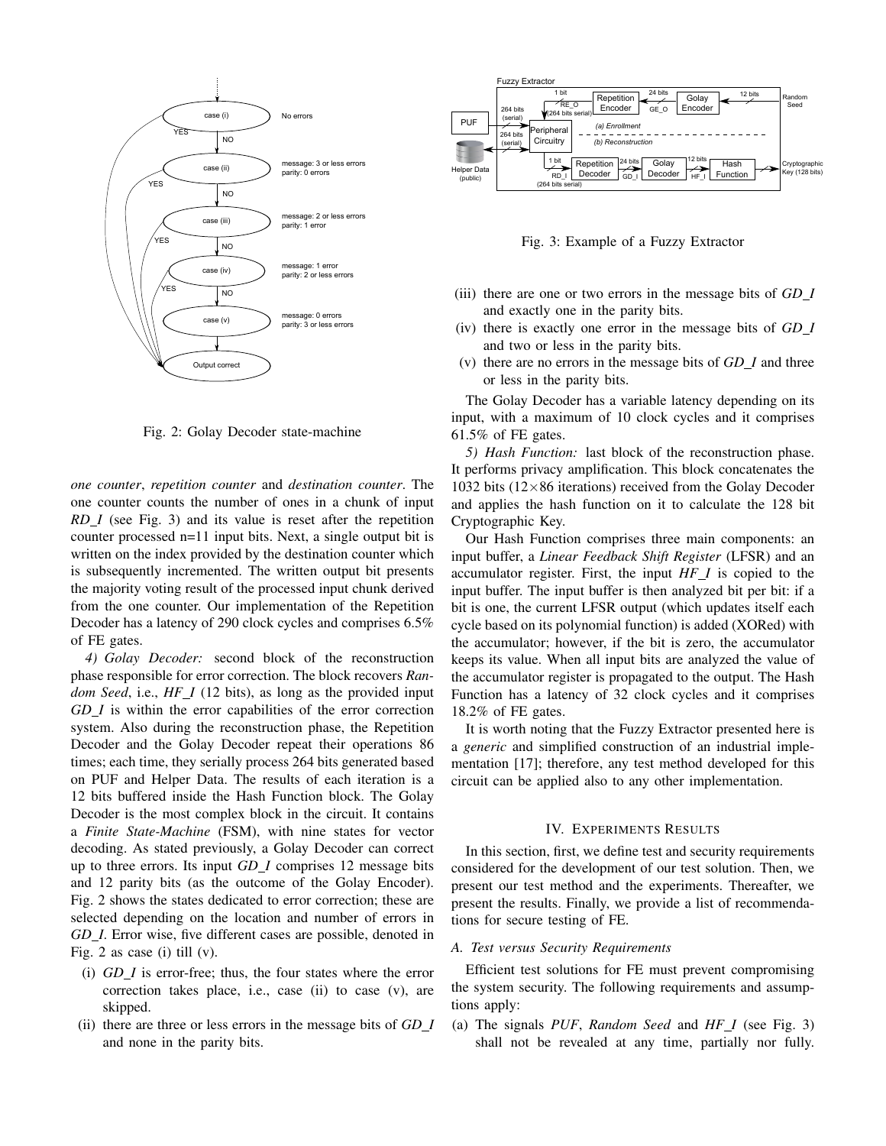

Fig. 2: Golay Decoder state-machine

*one counter*, *repetition counter* and *destination counter*. The one counter counts the number of ones in a chunk of input *RD I* (see Fig. 3) and its value is reset after the repetition counter processed n=11 input bits. Next, a single output bit is written on the index provided by the destination counter which is subsequently incremented. The written output bit presents the majority voting result of the processed input chunk derived from the one counter. Our implementation of the Repetition Decoder has a latency of 290 clock cycles and comprises 6.5% of FE gates.

*4) Golay Decoder:* second block of the reconstruction phase responsible for error correction. The block recovers *Random Seed*, i.e., *HF I* (12 bits), as long as the provided input *GD\_I* is within the error capabilities of the error correction system. Also during the reconstruction phase, the Repetition Decoder and the Golay Decoder repeat their operations 86 times; each time, they serially process 264 bits generated based on PUF and Helper Data. The results of each iteration is a 12 bits buffered inside the Hash Function block. The Golay Decoder is the most complex block in the circuit. It contains a *Finite State-Machine* (FSM), with nine states for vector decoding. As stated previously, a Golay Decoder can correct up to three errors. Its input *GD I* comprises 12 message bits and 12 parity bits (as the outcome of the Golay Encoder). Fig. 2 shows the states dedicated to error correction; these are selected depending on the location and number of errors in *GD I*. Error wise, five different cases are possible, denoted in Fig. 2 as case (i) till (v).

- (i) *GD I* is error-free; thus, the four states where the error correction takes place, i.e., case (ii) to case (v), are skipped.
- (ii) there are three or less errors in the message bits of *GD I* and none in the parity bits.



Fig. 3: Example of a Fuzzy Extractor

- (iii) there are one or two errors in the message bits of *GD I* and exactly one in the parity bits.
- (iv) there is exactly one error in the message bits of *GD I* and two or less in the parity bits.
- (v) there are no errors in the message bits of *GD I* and three or less in the parity bits.

The Golay Decoder has a variable latency depending on its input, with a maximum of 10 clock cycles and it comprises 61.5% of FE gates.

*5) Hash Function:* last block of the reconstruction phase. It performs privacy amplification. This block concatenates the 1032 bits ( $12\times86$  iterations) received from the Golay Decoder and applies the hash function on it to calculate the 128 bit Cryptographic Key.

Our Hash Function comprises three main components: an input buffer, a *Linear Feedback Shift Register* (LFSR) and an accumulator register. First, the input *HF I* is copied to the input buffer. The input buffer is then analyzed bit per bit: if a bit is one, the current LFSR output (which updates itself each cycle based on its polynomial function) is added (XORed) with the accumulator; however, if the bit is zero, the accumulator keeps its value. When all input bits are analyzed the value of the accumulator register is propagated to the output. The Hash Function has a latency of 32 clock cycles and it comprises 18.2% of FE gates.

It is worth noting that the Fuzzy Extractor presented here is a *generic* and simplified construction of an industrial implementation [17]; therefore, any test method developed for this circuit can be applied also to any other implementation.

## IV. EXPERIMENTS RESULTS

In this section, first, we define test and security requirements considered for the development of our test solution. Then, we present our test method and the experiments. Thereafter, we present the results. Finally, we provide a list of recommendations for secure testing of FE.

#### *A. Test versus Security Requirements*

Efficient test solutions for FE must prevent compromising the system security. The following requirements and assumptions apply:

(a) The signals *PUF*, *Random Seed* and *HF I* (see Fig. 3) shall not be revealed at any time, partially nor fully.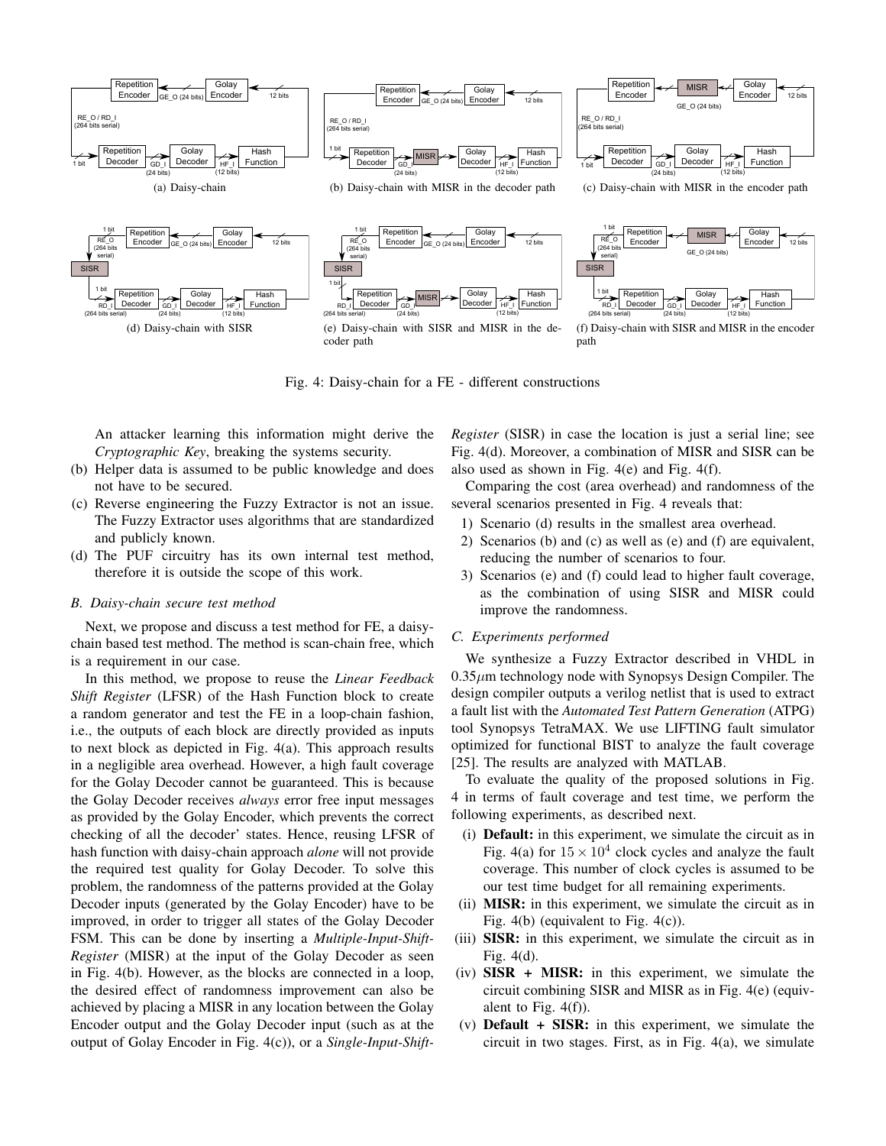

Fig. 4: Daisy-chain for a FE - different constructions

An attacker learning this information might derive the *Cryptographic Key*, breaking the systems security.

- (b) Helper data is assumed to be public knowledge and does not have to be secured.
- (c) Reverse engineering the Fuzzy Extractor is not an issue. The Fuzzy Extractor uses algorithms that are standardized and publicly known.
- (d) The PUF circuitry has its own internal test method, therefore it is outside the scope of this work.

## *B. Daisy-chain secure test method*

Next, we propose and discuss a test method for FE, a daisychain based test method. The method is scan-chain free, which is a requirement in our case.

In this method, we propose to reuse the *Linear Feedback Shift Register* (LFSR) of the Hash Function block to create a random generator and test the FE in a loop-chain fashion, i.e., the outputs of each block are directly provided as inputs to next block as depicted in Fig. 4(a). This approach results in a negligible area overhead. However, a high fault coverage for the Golay Decoder cannot be guaranteed. This is because the Golay Decoder receives *always* error free input messages as provided by the Golay Encoder, which prevents the correct checking of all the decoder' states. Hence, reusing LFSR of hash function with daisy-chain approach *alone* will not provide the required test quality for Golay Decoder. To solve this problem, the randomness of the patterns provided at the Golay Decoder inputs (generated by the Golay Encoder) have to be improved, in order to trigger all states of the Golay Decoder FSM. This can be done by inserting a *Multiple-Input-Shift-Register* (MISR) at the input of the Golay Decoder as seen in Fig. 4(b). However, as the blocks are connected in a loop, the desired effect of randomness improvement can also be achieved by placing a MISR in any location between the Golay Encoder output and the Golay Decoder input (such as at the output of Golay Encoder in Fig. 4(c)), or a *Single-Input-Shift-* *Register* (SISR) in case the location is just a serial line; see Fig. 4(d). Moreover, a combination of MISR and SISR can be also used as shown in Fig. 4(e) and Fig. 4(f).

Comparing the cost (area overhead) and randomness of the several scenarios presented in Fig. 4 reveals that:

- 1) Scenario (d) results in the smallest area overhead.
- 2) Scenarios (b) and (c) as well as (e) and (f) are equivalent, reducing the number of scenarios to four.
- 3) Scenarios (e) and (f) could lead to higher fault coverage, as the combination of using SISR and MISR could improve the randomness.

#### *C. Experiments performed*

We synthesize a Fuzzy Extractor described in VHDL in  $0.35\mu$ m technology node with Synopsys Design Compiler. The design compiler outputs a verilog netlist that is used to extract a fault list with the *Automated Test Pattern Generation* (ATPG) tool Synopsys TetraMAX. We use LIFTING fault simulator optimized for functional BIST to analyze the fault coverage [25]. The results are analyzed with MATLAB.

To evaluate the quality of the proposed solutions in Fig. 4 in terms of fault coverage and test time, we perform the following experiments, as described next.

- (i) Default: in this experiment, we simulate the circuit as in Fig. 4(a) for  $15 \times 10^4$  clock cycles and analyze the fault coverage. This number of clock cycles is assumed to be our test time budget for all remaining experiments.
- (ii) MISR: in this experiment, we simulate the circuit as in Fig. 4(b) (equivalent to Fig. 4(c)).
- (iii) SISR: in this experiment, we simulate the circuit as in Fig. 4(d).
- (iv) SISR + MISR: in this experiment, we simulate the circuit combining SISR and MISR as in Fig. 4(e) (equivalent to Fig.  $4(f)$ ).
- (v) Default  $+$  SISR: in this experiment, we simulate the circuit in two stages. First, as in Fig. 4(a), we simulate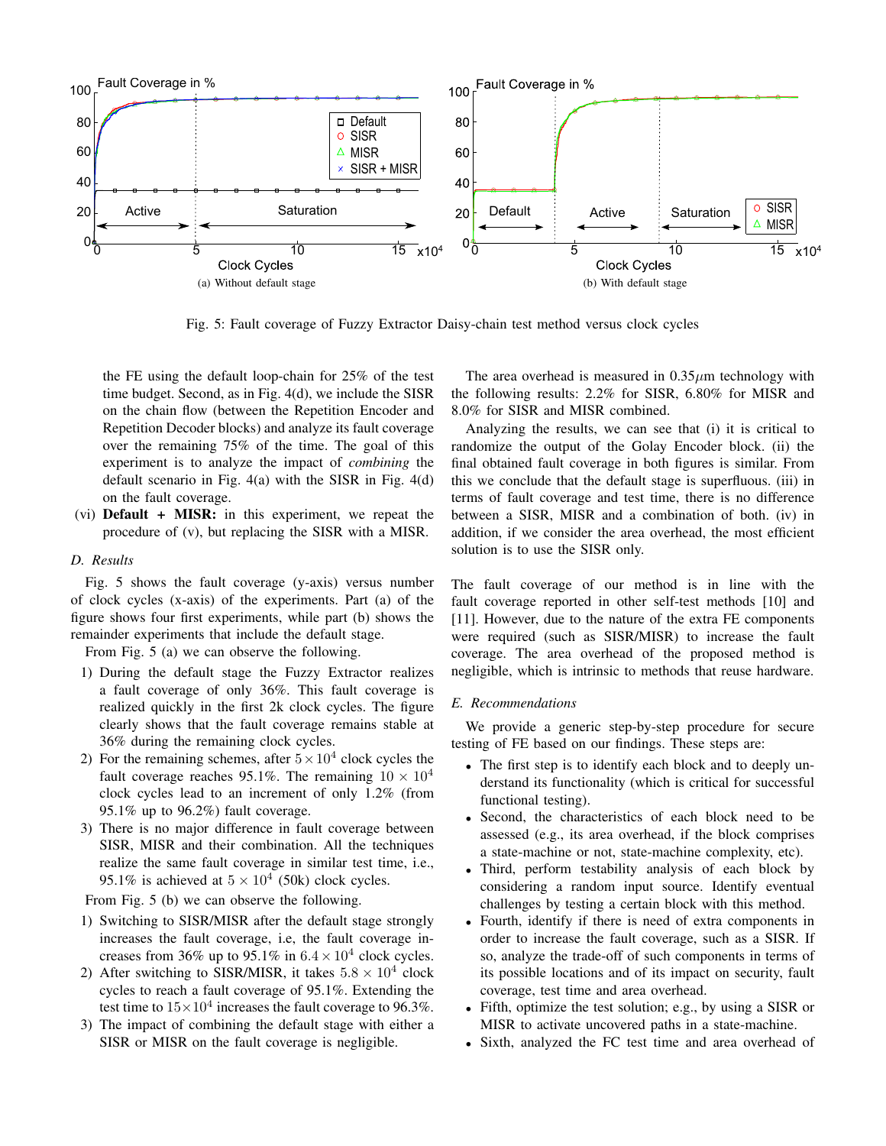

Fig. 5: Fault coverage of Fuzzy Extractor Daisy-chain test method versus clock cycles

the FE using the default loop-chain for 25% of the test time budget. Second, as in Fig. 4(d), we include the SISR on the chain flow (between the Repetition Encoder and Repetition Decoder blocks) and analyze its fault coverage over the remaining 75% of the time. The goal of this experiment is to analyze the impact of *combining* the default scenario in Fig. 4(a) with the SISR in Fig. 4(d) on the fault coverage.

(vi) Default + MISR: in this experiment, we repeat the procedure of (v), but replacing the SISR with a MISR.

#### *D. Results*

Fig. 5 shows the fault coverage (y-axis) versus number of clock cycles (x-axis) of the experiments. Part (a) of the figure shows four first experiments, while part (b) shows the remainder experiments that include the default stage.

From Fig. 5 (a) we can observe the following.

- 1) During the default stage the Fuzzy Extractor realizes a fault coverage of only 36%. This fault coverage is realized quickly in the first 2k clock cycles. The figure clearly shows that the fault coverage remains stable at 36% during the remaining clock cycles.
- 2) For the remaining schemes, after  $5 \times 10^4$  clock cycles the fault coverage reaches 95.1%. The remaining  $10 \times 10^4$ clock cycles lead to an increment of only 1.2% (from 95.1% up to 96.2%) fault coverage.
- 3) There is no major difference in fault coverage between SISR, MISR and their combination. All the techniques realize the same fault coverage in similar test time, i.e., 95.1% is achieved at  $5 \times 10^4$  (50k) clock cycles.

From Fig. 5 (b) we can observe the following.

- 1) Switching to SISR/MISR after the default stage strongly increases the fault coverage, i.e, the fault coverage increases from 36% up to 95.1% in  $6.4 \times 10^4$  clock cycles.
- 2) After switching to SISR/MISR, it takes  $5.8 \times 10^4$  clock cycles to reach a fault coverage of 95.1%. Extending the test time to  $15 \times 10^4$  increases the fault coverage to 96.3%.
- 3) The impact of combining the default stage with either a SISR or MISR on the fault coverage is negligible.

The area overhead is measured in  $0.35\mu$ m technology with the following results: 2.2% for SISR, 6.80% for MISR and 8.0% for SISR and MISR combined.

Analyzing the results, we can see that (i) it is critical to randomize the output of the Golay Encoder block. (ii) the final obtained fault coverage in both figures is similar. From this we conclude that the default stage is superfluous. (iii) in terms of fault coverage and test time, there is no difference between a SISR, MISR and a combination of both. (iv) in addition, if we consider the area overhead, the most efficient solution is to use the SISR only.

The fault coverage of our method is in line with the fault coverage reported in other self-test methods [10] and [11]. However, due to the nature of the extra FE components were required (such as SISR/MISR) to increase the fault coverage. The area overhead of the proposed method is negligible, which is intrinsic to methods that reuse hardware.

#### *E. Recommendations*

We provide a generic step-by-step procedure for secure testing of FE based on our findings. These steps are:

- The first step is to identify each block and to deeply understand its functionality (which is critical for successful functional testing).
- Second, the characteristics of each block need to be assessed (e.g., its area overhead, if the block comprises a state-machine or not, state-machine complexity, etc).
- Third, perform testability analysis of each block by considering a random input source. Identify eventual challenges by testing a certain block with this method.
- Fourth, identify if there is need of extra components in order to increase the fault coverage, such as a SISR. If so, analyze the trade-off of such components in terms of its possible locations and of its impact on security, fault coverage, test time and area overhead.
- Fifth, optimize the test solution; e.g., by using a SISR or MISR to activate uncovered paths in a state-machine.
- Sixth, analyzed the FC test time and area overhead of